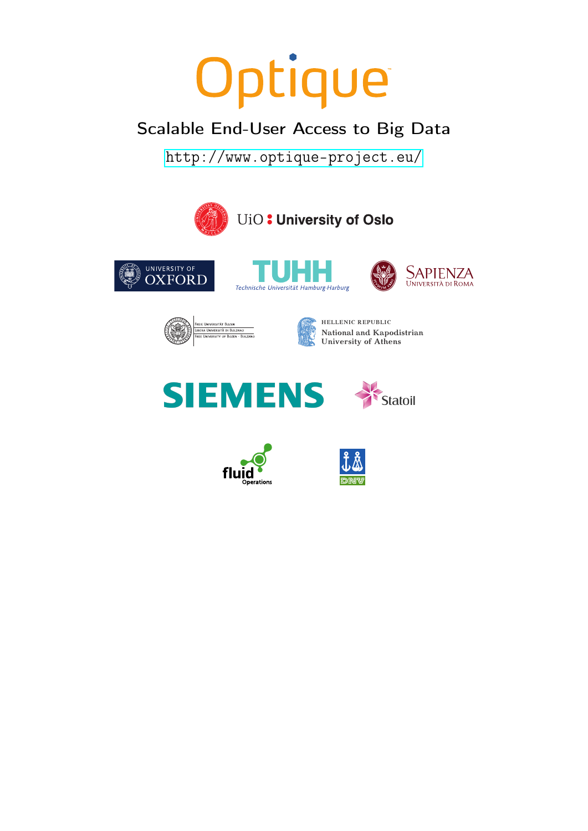# Optique

## Scalable End-User Access to Big Data

<http://www.optique-project.eu/>

















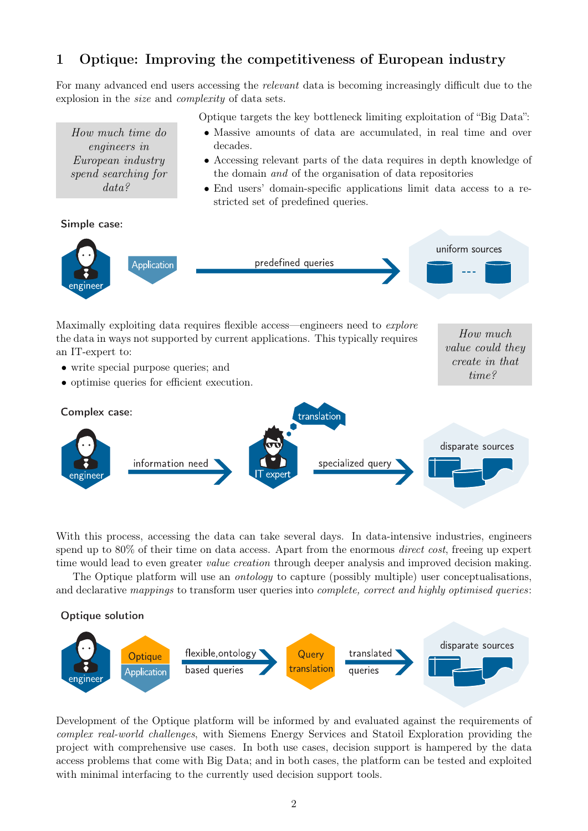#### 1 Optique: Improving the competitiveness of European industry

For many advanced end users accessing the *relevant* data is becoming increasingly difficult due to the explosion in the size and complexity of data sets.

Optique targets the key bottleneck limiting exploitation of "Big Data":

- Massive amounts of data are accumulated, in real time and over decades.
- Accessing relevant parts of the data requires in depth knowledge of the domain and of the organisation of data repositories
- End users' domain-specific applications limit data access to a restricted set of predefined queries.

How much value could they create in that time?



How much time do engineers in European industry spend searching for data?



Maximally exploiting data requires flexible access—engineers need to *explore* the data in ways not supported by current applications. This typically requires an IT-expert to:

- write special purpose queries; and
- optimise queries for efficient execution.



With this process, accessing the data can take several days. In data-intensive industries, engineers spend up to 80% of their time on data access. Apart from the enormous *direct cost*, freeing up expert time would lead to even greater *value creation* through deeper analysis and improved decision making.

The Optique platform will use an ontology to capture (possibly multiple) user conceptualisations, and declarative mappings to transform user queries into *complete*, *correct and highly optimised queries*:





Development of the Optique platform will be informed by and evaluated against the requirements of complex real-world challenges, with Siemens Energy Services and Statoil Exploration providing the project with comprehensive use cases. In both use cases, decision support is hampered by the data access problems that come with Big Data; and in both cases, the platform can be tested and exploited with minimal interfacing to the currently used decision support tools.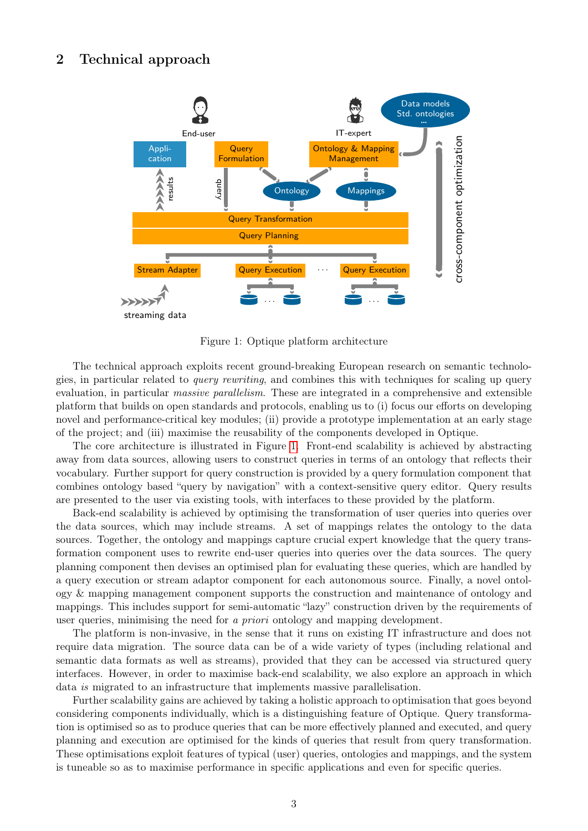### 2 Technical approach



<span id="page-2-0"></span>Figure 1: Optique platform architecture

The technical approach exploits recent ground-breaking European research on semantic technologies, in particular related to query rewriting, and combines this with techniques for scaling up query evaluation, in particular massive parallelism. These are integrated in a comprehensive and extensible platform that builds on open standards and protocols, enabling us to (i) focus our efforts on developing novel and performance-critical key modules; (ii) provide a prototype implementation at an early stage of the project; and (iii) maximise the reusability of the components developed in Optique.

The core architecture is illustrated in Figure [1.](#page-2-0) Front-end scalability is achieved by abstracting away from data sources, allowing users to construct queries in terms of an ontology that reflects their vocabulary. Further support for query construction is provided by a query formulation component that combines ontology based "query by navigation" with a context-sensitive query editor. Query results are presented to the user via existing tools, with interfaces to these provided by the platform.

Back-end scalability is achieved by optimising the transformation of user queries into queries over the data sources, which may include streams. A set of mappings relates the ontology to the data sources. Together, the ontology and mappings capture crucial expert knowledge that the query transformation component uses to rewrite end-user queries into queries over the data sources. The query planning component then devises an optimised plan for evaluating these queries, which are handled by a query execution or stream adaptor component for each autonomous source. Finally, a novel ontology & mapping management component supports the construction and maintenance of ontology and mappings. This includes support for semi-automatic "lazy" construction driven by the requirements of user queries, minimising the need for a priori ontology and mapping development.

The platform is non-invasive, in the sense that it runs on existing IT infrastructure and does not require data migration. The source data can be of a wide variety of types (including relational and semantic data formats as well as streams), provided that they can be accessed via structured query interfaces. However, in order to maximise back-end scalability, we also explore an approach in which data is migrated to an infrastructure that implements massive parallelisation.

Further scalability gains are achieved by taking a holistic approach to optimisation that goes beyond considering components individually, which is a distinguishing feature of Optique. Query transformation is optimised so as to produce queries that can be more effectively planned and executed, and query planning and execution are optimised for the kinds of queries that result from query transformation. These optimisations exploit features of typical (user) queries, ontologies and mappings, and the system is tuneable so as to maximise performance in specific applications and even for specific queries.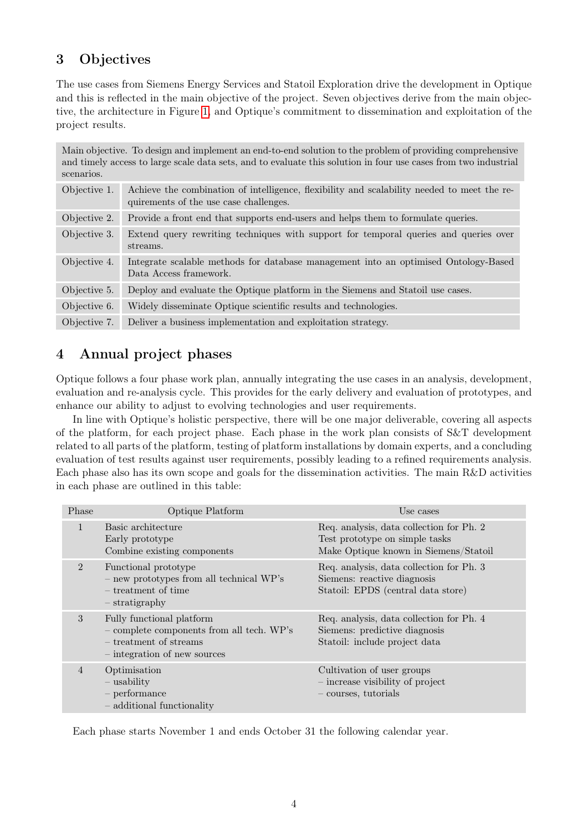#### 3 Objectives

The use cases from Siemens Energy Services and Statoil Exploration drive the development in Optique and this is reflected in the main objective of the project. Seven objectives derive from the main objective, the architecture in Figure [1,](#page-2-0) and Optique's commitment to dissemination and exploitation of the project results.

| Main objective. To design and implement an end-to-end solution to the problem of providing comprehensive<br>and timely access to large scale data sets, and to evaluate this solution in four use cases from two industrial<br>scenarios. |                                                                                                                                       |  |
|-------------------------------------------------------------------------------------------------------------------------------------------------------------------------------------------------------------------------------------------|---------------------------------------------------------------------------------------------------------------------------------------|--|
| Objective 1.                                                                                                                                                                                                                              | Achieve the combination of intelligence, flexibility and scalability needed to meet the re-<br>quirements of the use case challenges. |  |
| Objective 2.                                                                                                                                                                                                                              | Provide a front end that supports end-users and helps them to formulate queries.                                                      |  |
| Objective 3.                                                                                                                                                                                                                              | Extend query rewriting techniques with support for temporal queries and queries over<br>streams.                                      |  |
| Objective 4.                                                                                                                                                                                                                              | Integrate scalable methods for database management into an optimised Ontology-Based<br>Data Access framework.                         |  |
| Objective 5.                                                                                                                                                                                                                              | Deploy and evaluate the Optique platform in the Siemens and Statoil use cases.                                                        |  |
| Objective 6.                                                                                                                                                                                                                              | Widely disseminate Optique scientific results and technologies.                                                                       |  |
| Objective 7.                                                                                                                                                                                                                              | Deliver a business implementation and exploitation strategy.                                                                          |  |

#### 4 Annual project phases

Optique follows a four phase work plan, annually integrating the use cases in an analysis, development, evaluation and re-analysis cycle. This provides for the early delivery and evaluation of prototypes, and enhance our ability to adjust to evolving technologies and user requirements.

In line with Optique's holistic perspective, there will be one major deliverable, covering all aspects of the platform, for each project phase. Each phase in the work plan consists of S&T development related to all parts of the platform, testing of platform installations by domain experts, and a concluding evaluation of test results against user requirements, possibly leading to a refined requirements analysis. Each phase also has its own scope and goals for the dissemination activities. The main R&D activities in each phase are outlined in this table:

| Phase          | Optique Platform                                                                                                                   | Use cases                                                                                                           |
|----------------|------------------------------------------------------------------------------------------------------------------------------------|---------------------------------------------------------------------------------------------------------------------|
| $\mathbf{1}$   | Basic architecture<br>Early prototype<br>Combine existing components                                                               | Req. analysis, data collection for Ph. 2<br>Test prototype on simple tasks<br>Make Optique known in Siemens/Statoil |
| $\mathfrak{D}$ | Functional prototype<br>- new prototypes from all technical WP's<br>– treatment of time<br>- stratigraphy                          | Req. analysis, data collection for Ph. 3<br>Siemens: reactive diagnosis<br>Statoil: EPDS (central data store)       |
| 3              | Fully functional platform<br>- complete components from all tech. WP's<br>$-$ treatment of streams<br>- integration of new sources | Req. analysis, data collection for Ph. 4<br>Siemens: predictive diagnosis<br>Statoil: include project data          |
| $\overline{4}$ | Optimisation<br>$-$ usability<br>- performance<br>- additional functionality                                                       | Cultivation of user groups<br>- increase visibility of project<br>- courses, tutorials                              |

Each phase starts November 1 and ends October 31 the following calendar year.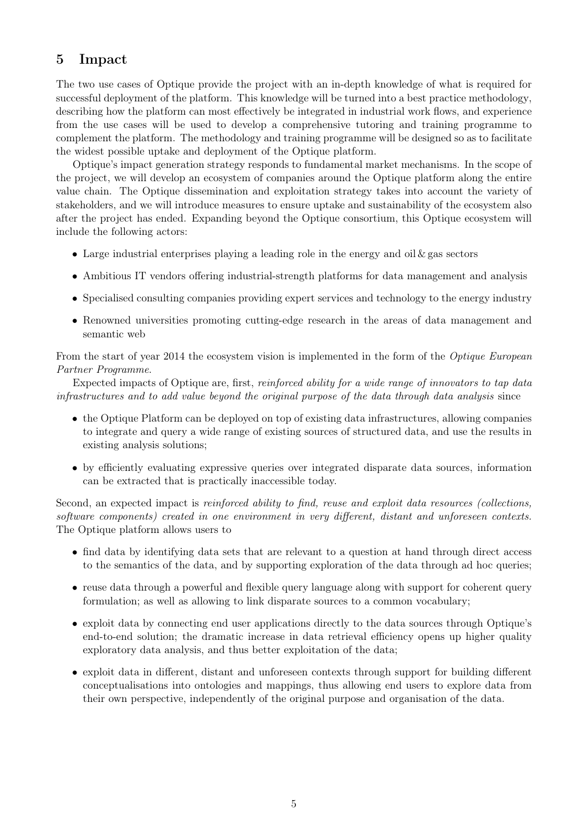#### 5 Impact

The two use cases of Optique provide the project with an in-depth knowledge of what is required for successful deployment of the platform. This knowledge will be turned into a best practice methodology, describing how the platform can most effectively be integrated in industrial work flows, and experience from the use cases will be used to develop a comprehensive tutoring and training programme to complement the platform. The methodology and training programme will be designed so as to facilitate the widest possible uptake and deployment of the Optique platform.

Optique's impact generation strategy responds to fundamental market mechanisms. In the scope of the project, we will develop an ecosystem of companies around the Optique platform along the entire value chain. The Optique dissemination and exploitation strategy takes into account the variety of stakeholders, and we will introduce measures to ensure uptake and sustainability of the ecosystem also after the project has ended. Expanding beyond the Optique consortium, this Optique ecosystem will include the following actors:

- Large industrial enterprises playing a leading role in the energy and oil  $\&$  gas sectors
- Ambitious IT vendors offering industrial-strength platforms for data management and analysis
- Specialised consulting companies providing expert services and technology to the energy industry
- Renowned universities promoting cutting-edge research in the areas of data management and semantic web

From the start of year 2014 the ecosystem vision is implemented in the form of the *Optique European* Partner Programme.

Expected impacts of Optique are, first, reinforced ability for a wide range of innovators to tap data infrastructures and to add value beyond the original purpose of the data through data analysis since

- the Optique Platform can be deployed on top of existing data infrastructures, allowing companies to integrate and query a wide range of existing sources of structured data, and use the results in existing analysis solutions;
- by efficiently evaluating expressive queries over integrated disparate data sources, information can be extracted that is practically inaccessible today.

Second, an expected impact is reinforced ability to find, reuse and exploit data resources (collections, software components) created in one environment in very different, distant and unforeseen contexts. The Optique platform allows users to

- find data by identifying data sets that are relevant to a question at hand through direct access to the semantics of the data, and by supporting exploration of the data through ad hoc queries;
- reuse data through a powerful and flexible query language along with support for coherent query formulation; as well as allowing to link disparate sources to a common vocabulary;
- exploit data by connecting end user applications directly to the data sources through Optique's end-to-end solution; the dramatic increase in data retrieval efficiency opens up higher quality exploratory data analysis, and thus better exploitation of the data;
- exploit data in different, distant and unforeseen contexts through support for building different conceptualisations into ontologies and mappings, thus allowing end users to explore data from their own perspective, independently of the original purpose and organisation of the data.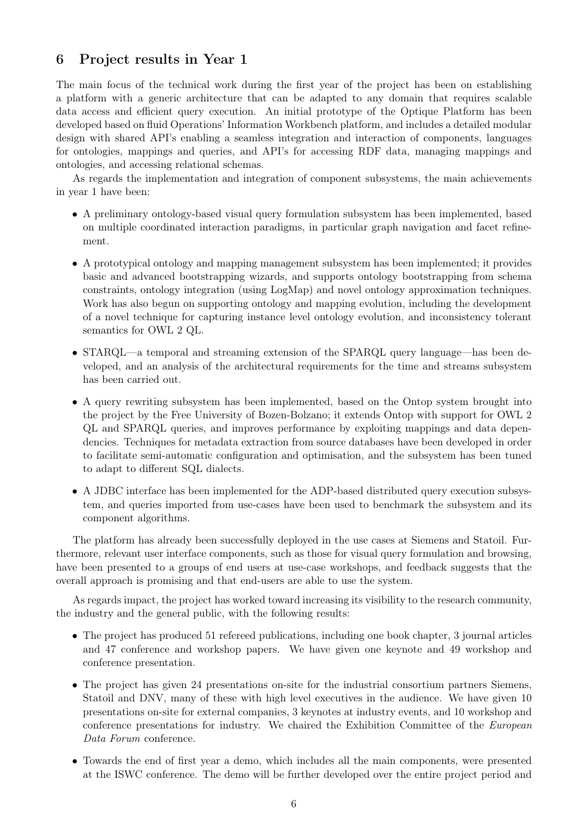#### 6 Project results in Year 1

The main focus of the technical work during the first year of the project has been on establishing a platform with a generic architecture that can be adapted to any domain that requires scalable data access and efficient query execution. An initial prototype of the Optique Platform has been developed based on fluid Operations' Information Workbench platform, and includes a detailed modular design with shared API's enabling a seamless integration and interaction of components, languages for ontologies, mappings and queries, and API's for accessing RDF data, managing mappings and ontologies, and accessing relational schemas.

As regards the implementation and integration of component subsystems, the main achievements in year 1 have been:

- A preliminary ontology-based visual query formulation subsystem has been implemented, based on multiple coordinated interaction paradigms, in particular graph navigation and facet refinement.
- A prototypical ontology and mapping management subsystem has been implemented; it provides basic and advanced bootstrapping wizards, and supports ontology bootstrapping from schema constraints, ontology integration (using LogMap) and novel ontology approximation techniques. Work has also begun on supporting ontology and mapping evolution, including the development of a novel technique for capturing instance level ontology evolution, and inconsistency tolerant semantics for OWL 2 QL.
- STARQL—a temporal and streaming extension of the SPARQL query language—has been developed, and an analysis of the architectural requirements for the time and streams subsystem has been carried out.
- A query rewriting subsystem has been implemented, based on the Ontop system brought into the project by the Free University of Bozen-Bolzano; it extends Ontop with support for OWL 2 QL and SPARQL queries, and improves performance by exploiting mappings and data dependencies. Techniques for metadata extraction from source databases have been developed in order to facilitate semi-automatic configuration and optimisation, and the subsystem has been tuned to adapt to different SQL dialects.
- A JDBC interface has been implemented for the ADP-based distributed query execution subsystem, and queries imported from use-cases have been used to benchmark the subsystem and its component algorithms.

The platform has already been successfully deployed in the use cases at Siemens and Statoil. Furthermore, relevant user interface components, such as those for visual query formulation and browsing, have been presented to a groups of end users at use-case workshops, and feedback suggests that the overall approach is promising and that end-users are able to use the system.

As regards impact, the project has worked toward increasing its visibility to the research community, the industry and the general public, with the following results:

- The project has produced 51 refereed publications, including one book chapter, 3 journal articles and 47 conference and workshop papers. We have given one keynote and 49 workshop and conference presentation.
- The project has given 24 presentations on-site for the industrial consortium partners Siemens, Statoil and DNV, many of these with high level executives in the audience. We have given 10 presentations on-site for external companies, 3 keynotes at industry events, and 10 workshop and conference presentations for industry. We chaired the Exhibition Committee of the European Data Forum conference.
- Towards the end of first year a demo, which includes all the main components, were presented at the ISWC conference. The demo will be further developed over the entire project period and